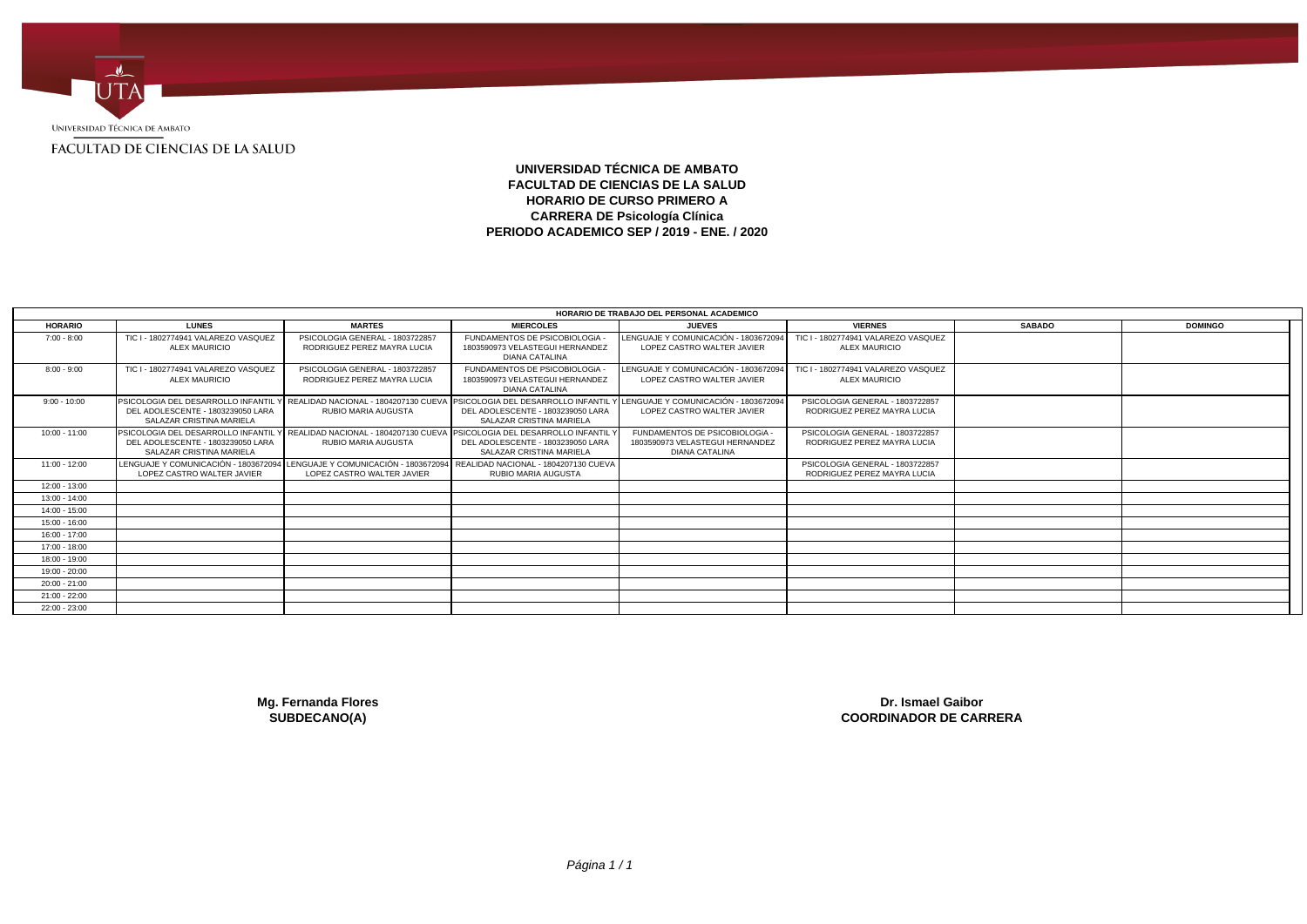

# **UNIVERSIDAD TÉCNICA DE AMBATO FACULTAD DE CIENCIAS DE LA SALUD HORARIO DE CURSO PRIMERO A CARRERA DE Psicología Clínica PERIODO ACADEMICO SEP / 2019 - ENE. / 2020**

|                 |                                                                                                                                                                                                                      |                                                                |                                                                                          | HORARIO DE TRABAJO DEL PERSONAL ACADEMICO                                                |                                                                |               |                |
|-----------------|----------------------------------------------------------------------------------------------------------------------------------------------------------------------------------------------------------------------|----------------------------------------------------------------|------------------------------------------------------------------------------------------|------------------------------------------------------------------------------------------|----------------------------------------------------------------|---------------|----------------|
| <b>HORARIO</b>  | <b>LUNES</b>                                                                                                                                                                                                         | <b>MARTES</b>                                                  | <b>MIERCOLES</b>                                                                         | <b>JUEVES</b>                                                                            | <b>VIERNES</b>                                                 | <b>SABADO</b> | <b>DOMINGO</b> |
| $7:00 - 8:00$   | TIC I - 1802774941 VALAREZO VASQUEZ<br><b>ALEX MAURICIO</b>                                                                                                                                                          | PSICOLOGIA GENERAL - 1803722857<br>RODRIGUEZ PEREZ MAYRA LUCIA | FUNDAMENTOS DE PSICOBIOLOGIA<br>1803590973 VELASTEGUI HERNANDEZ<br><b>DIANA CATALINA</b> | LENGUAJE Y COMUNICACIÓN - 1803672094<br>LOPEZ CASTRO WALTER JAVIER                       | TIC I - 1802774941 VALAREZO VASQUEZ<br><b>ALEX MAURICIO</b>    |               |                |
| $8:00 - 9:00$   | TIC I - 1802774941 VALAREZO VASQUEZ<br><b>ALEX MAURICIO</b>                                                                                                                                                          | PSICOLOGIA GENERAL - 1803722857<br>RODRIGUEZ PEREZ MAYRA LUCIA | FUNDAMENTOS DE PSICOBIOLOGIA<br>1803590973 VELASTEGUI HERNANDEZ<br><b>DIANA CATALINA</b> | LENGUAJE Y COMUNICACIÓN - 1803672094<br>LOPEZ CASTRO WALTER JAVIER                       | TIC I - 1802774941 VALAREZO VASQUEZ<br><b>ALEX MAURICIO</b>    |               |                |
| $9:00 - 10:00$  | PSICOLOGIA DEL DESARROLLO INFANTIL Y REALIDAD NACIONAL - 1804207130 CUEVA PSICOLOGIA DEL DESARROLLO INFANTIL Y LENGUAJE Y COMUNICACIÓN - 1803672094<br>DEL ADOLESCENTE - 1803239050 LARA<br>SALAZAR CRISTINA MARIELA | RUBIO MARIA AUGUSTA                                            | DEL ADOLESCENTE - 1803239050 LARA<br>SALAZAR CRISTINA MARIELA                            | LOPEZ CASTRO WALTER JAVIER                                                               | PSICOLOGIA GENERAL - 1803722857<br>RODRIGUEZ PEREZ MAYRA LUCIA |               |                |
| $10:00 - 11:00$ | PSICOLOGIA DEL DESARROLLO INFANTIL Y REALIDAD NACIONAL - 1804207130 CUEVA PSICOLOGIA DEL DESARROLLO INFANTIL<br>DEL ADOLESCENTE - 1803239050 LARA<br>SALAZAR CRISTINA MARIELA                                        | RUBIO MARIA AUGUSTA                                            | DEL ADOLESCENTE - 1803239050 LARA<br>SALAZAR CRISTINA MARIELA                            | FUNDAMENTOS DE PSICOBIOLOGIA<br>1803590973 VELASTEGUI HERNANDEZ<br><b>DIANA CATALINA</b> | PSICOLOGIA GENERAL - 1803722857<br>RODRIGUEZ PEREZ MAYRA LUCIA |               |                |
| $11:00 - 12:00$ | LENGUAJE Y COMUNICACIÓN - 1803672094 LENGUAJE Y COMUNICACIÓN - 1803672094 REALIDAD NACIONAL - 1804207130 CUEVA<br>LOPEZ CASTRO WALTER JAVIER                                                                         | LOPEZ CASTRO WALTER JAVIER                                     | RUBIO MARIA AUGUSTA                                                                      |                                                                                          | PSICOLOGIA GENERAL - 1803722857<br>RODRIGUEZ PEREZ MAYRA LUCIA |               |                |
| $12:00 - 13:00$ |                                                                                                                                                                                                                      |                                                                |                                                                                          |                                                                                          |                                                                |               |                |
| 13:00 - 14:00   |                                                                                                                                                                                                                      |                                                                |                                                                                          |                                                                                          |                                                                |               |                |
| $14:00 - 15:00$ |                                                                                                                                                                                                                      |                                                                |                                                                                          |                                                                                          |                                                                |               |                |
| 15:00 - 16:00   |                                                                                                                                                                                                                      |                                                                |                                                                                          |                                                                                          |                                                                |               |                |
| $16:00 - 17:00$ |                                                                                                                                                                                                                      |                                                                |                                                                                          |                                                                                          |                                                                |               |                |
| 17:00 - 18:00   |                                                                                                                                                                                                                      |                                                                |                                                                                          |                                                                                          |                                                                |               |                |
| 18:00 - 19:00   |                                                                                                                                                                                                                      |                                                                |                                                                                          |                                                                                          |                                                                |               |                |
| 19:00 - 20:00   |                                                                                                                                                                                                                      |                                                                |                                                                                          |                                                                                          |                                                                |               |                |
| $20:00 - 21:00$ |                                                                                                                                                                                                                      |                                                                |                                                                                          |                                                                                          |                                                                |               |                |
| $21:00 - 22:00$ |                                                                                                                                                                                                                      |                                                                |                                                                                          |                                                                                          |                                                                |               |                |
| $22:00 - 23:00$ |                                                                                                                                                                                                                      |                                                                |                                                                                          |                                                                                          |                                                                |               |                |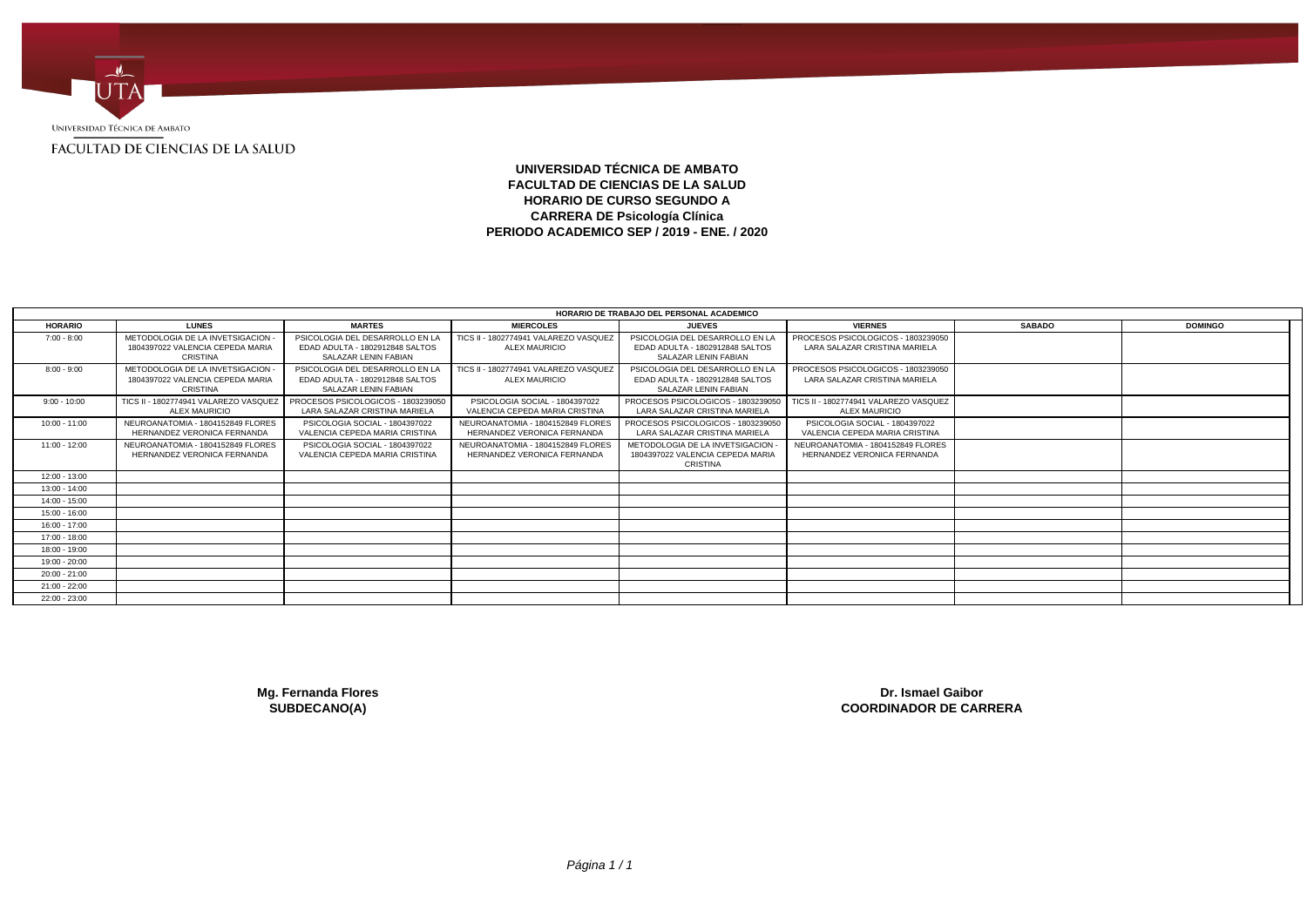

# **UNIVERSIDAD TÉCNICA DE AMBATO FACULTAD DE CIENCIAS DE LA SALUD HORARIO DE CURSO SEGUNDO A CARRERA DE Psicología Clínica PERIODO ACADEMICO SEP / 2019 - ENE. / 2020**

|                 |                                                                                          |                                                                                            |                                                                  | HORARIO DE TRABAJO DEL PERSONAL ACADEMICO                                                  |                                                                     |               |                |  |
|-----------------|------------------------------------------------------------------------------------------|--------------------------------------------------------------------------------------------|------------------------------------------------------------------|--------------------------------------------------------------------------------------------|---------------------------------------------------------------------|---------------|----------------|--|
| <b>HORARIO</b>  | <b>LUNES</b>                                                                             | <b>MARTES</b>                                                                              | <b>MIERCOLES</b>                                                 | <b>JUEVES</b>                                                                              | <b>VIERNES</b>                                                      | <b>SABADO</b> | <b>DOMINGO</b> |  |
| $7:00 - 8:00$   | METODOLOGIA DE LA INVETSIGACION<br>1804397022 VALENCIA CEPEDA MARIA<br>CRISTINA          | PSICOLOGIA DEL DESARROLLO EN LA<br>EDAD ADULTA - 1802912848 SALTOS<br>SALAZAR LENIN FABIAN | TICS II - 1802774941 VALAREZO VASQUEZ<br>ALEX MAURICIO           | PSICOLOGIA DEL DESARROLLO EN LA<br>EDAD ADULTA - 1802912848 SALTOS<br>SALAZAR LENIN FABIAN | PROCESOS PSICOLOGICOS - 1803239050<br>LARA SALAZAR CRISTINA MARIELA |               |                |  |
| $8:00 - 9:00$   | METODOLOGIA DE LA INVETSIGACION -<br>1804397022 VALENCIA CEPEDA MARIA<br><b>CRISTINA</b> | PSICOLOGIA DEL DESARROLLO EN LA<br>EDAD ADULTA - 1802912848 SALTOS<br>SALAZAR LENIN FABIAN | TICS II - 1802774941 VALAREZO VASQUEZ<br><b>ALEX MAURICIO</b>    | PSICOLOGIA DEL DESARROLLO EN LA<br>EDAD ADULTA - 1802912848 SALTOS<br>SALAZAR LENIN FABIAN | PROCESOS PSICOLOGICOS - 1803239050<br>LARA SALAZAR CRISTINA MARIELA |               |                |  |
| $9:00 - 10:00$  | TICS II - 1802774941 VALAREZO VASQUEZ<br><b>ALEX MAURICIO</b>                            | PROCESOS PSICOLOGICOS - 1803239050<br>LARA SALAZAR CRISTINA MARIELA                        | PSICOLOGIA SOCIAL - 1804397022<br>VALENCIA CEPEDA MARIA CRISTINA | PROCESOS PSICOLOGICOS - 1803239050<br>LARA SALAZAR CRISTINA MARIELA                        | TICS II - 1802774941 VALAREZO VASQUEZ<br><b>ALEX MAURICIO</b>       |               |                |  |
| $10:00 - 11:00$ | NEUROANATOMIA - 1804152849 FLORES<br>HERNANDEZ VERONICA FERNANDA                         | PSICOLOGIA SOCIAL - 1804397022<br>VALENCIA CEPEDA MARIA CRISTINA                           | NEUROANATOMIA - 1804152849 FLORES<br>HERNANDEZ VERONICA FERNANDA | PROCESOS PSICOLOGICOS - 1803239050<br>LARA SALAZAR CRISTINA MARIELA                        | PSICOLOGIA SOCIAL - 1804397022<br>VALENCIA CEPEDA MARIA CRISTINA    |               |                |  |
| $11:00 - 12:00$ | NEUROANATOMIA - 1804152849 FLORES<br>HERNANDEZ VERONICA FERNANDA                         | PSICOLOGIA SOCIAL - 1804397022<br>VALENCIA CEPEDA MARIA CRISTINA                           | NEUROANATOMIA - 1804152849 FLORES<br>HERNANDEZ VERONICA FERNANDA | METODOLOGIA DE LA INVETSIGACION<br>1804397022 VALENCIA CEPEDA MARIA<br><b>CRISTINA</b>     | NEUROANATOMIA - 1804152849 FLORES<br>HERNANDEZ VERONICA FERNANDA    |               |                |  |
| 12:00 - 13:00   |                                                                                          |                                                                                            |                                                                  |                                                                                            |                                                                     |               |                |  |
| 13:00 - 14:00   |                                                                                          |                                                                                            |                                                                  |                                                                                            |                                                                     |               |                |  |
| 14:00 - 15:00   |                                                                                          |                                                                                            |                                                                  |                                                                                            |                                                                     |               |                |  |
| 15:00 - 16:00   |                                                                                          |                                                                                            |                                                                  |                                                                                            |                                                                     |               |                |  |
| 16:00 - 17:00   |                                                                                          |                                                                                            |                                                                  |                                                                                            |                                                                     |               |                |  |
| 17:00 - 18:00   |                                                                                          |                                                                                            |                                                                  |                                                                                            |                                                                     |               |                |  |
| 18:00 - 19:00   |                                                                                          |                                                                                            |                                                                  |                                                                                            |                                                                     |               |                |  |
| 19:00 - 20:00   |                                                                                          |                                                                                            |                                                                  |                                                                                            |                                                                     |               |                |  |
| $20:00 - 21:00$ |                                                                                          |                                                                                            |                                                                  |                                                                                            |                                                                     |               |                |  |
| 21:00 - 22:00   |                                                                                          |                                                                                            |                                                                  |                                                                                            |                                                                     |               |                |  |
| 22:00 - 23:00   |                                                                                          |                                                                                            |                                                                  |                                                                                            |                                                                     |               |                |  |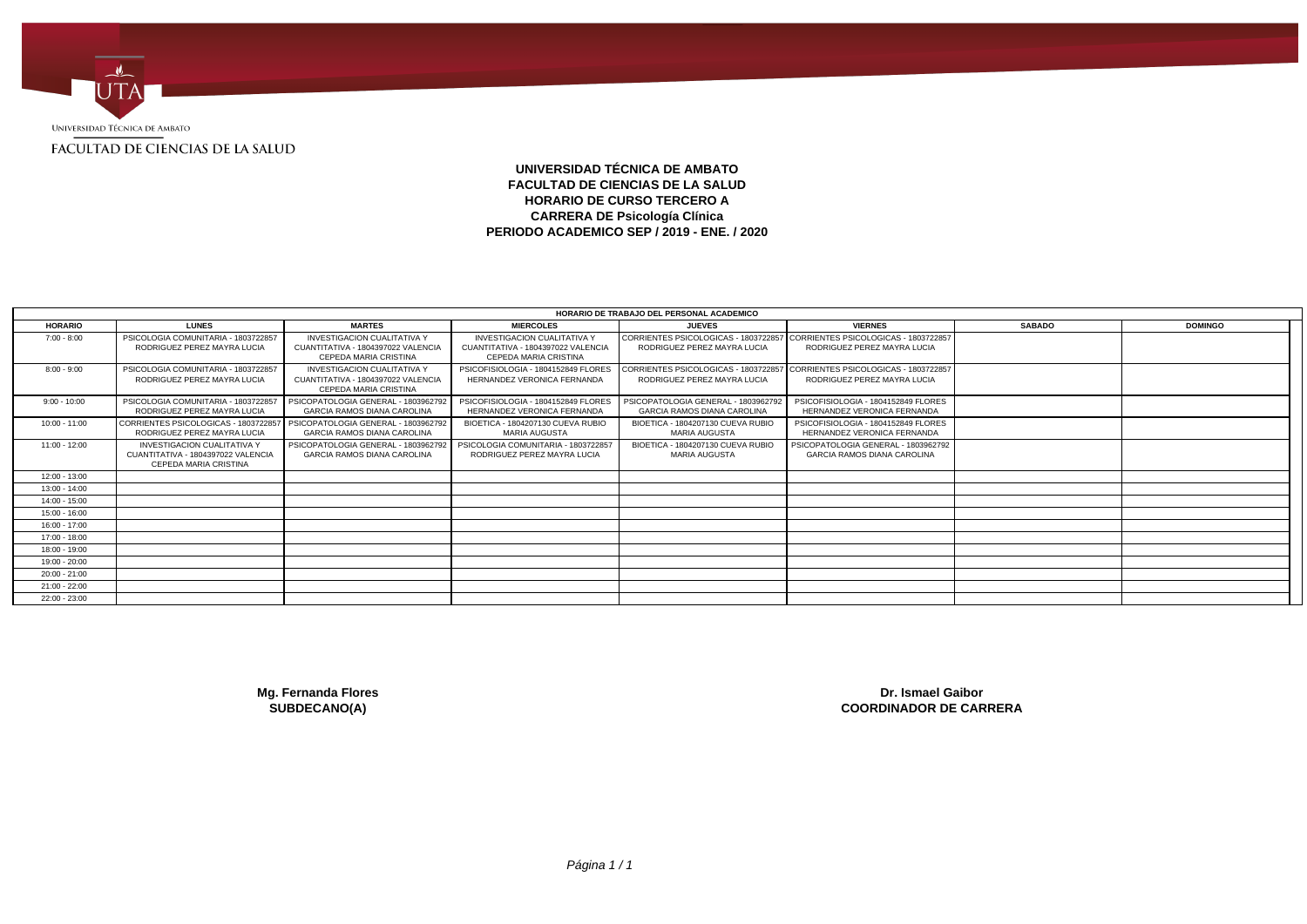

# **UNIVERSIDAD TÉCNICA DE AMBATO FACULTAD DE CIENCIAS DE LA SALUD HORARIO DE CURSO TERCERO A CARRERA DE Psicología Clínica PERIODO ACADEMICO SEP / 2019 - ENE. / 2020**

|                 |                                                                                                           |                                                                                                          |                                                                                                   | HORARIO DE TRABAJO DEL PERSONAL ACADEMICO                                                                |                                                                                                          |               |                |  |
|-----------------|-----------------------------------------------------------------------------------------------------------|----------------------------------------------------------------------------------------------------------|---------------------------------------------------------------------------------------------------|----------------------------------------------------------------------------------------------------------|----------------------------------------------------------------------------------------------------------|---------------|----------------|--|
| <b>HORARIO</b>  | <b>LUNES</b>                                                                                              | <b>MARTES</b>                                                                                            | <b>MIERCOLES</b>                                                                                  | <b>JUEVES</b>                                                                                            | <b>VIERNES</b>                                                                                           | <b>SABADO</b> | <b>DOMINGO</b> |  |
| $7:00 - 8:00$   | PSICOLOGIA COMUNITARIA - 1803722857<br>RODRIGUEZ PEREZ MAYRA LUCIA                                        | <b>INVESTIGACION CUALITATIVA Y</b><br>CUANTITATIVA - 1804397022 VALENCIA<br><b>CEPEDA MARIA CRISTINA</b> | <b>INVESTIGACION CUALITATIVA Y</b><br>CUANTITATIVA - 1804397022 VALENCIA<br>CEPEDA MARIA CRISTINA | CORRIENTES PSICOLOGICAS - 1803722857 CORRIENTES PSICOLOGICAS - 1803722857<br>RODRIGUEZ PEREZ MAYRA LUCIA | RODRIGUEZ PEREZ MAYRA LUCIA                                                                              |               |                |  |
| $8:00 - 9:00$   | PSICOLOGIA COMUNITARIA - 1803722857<br>RODRIGUEZ PEREZ MAYRA LUCIA                                        | <b>INVESTIGACION CUALITATIVA Y</b><br>CUANTITATIVA - 1804397022 VALENCIA<br>CEPEDA MARIA CRISTINA        | PSICOFISIOLOGIA - 1804152849 FLORES<br>HERNANDEZ VERONICA FERNANDA                                | RODRIGUEZ PEREZ MAYRA LUCIA                                                                              | CORRIENTES PSICOLOGICAS - 1803722857 CORRIENTES PSICOLOGICAS - 1803722857<br>RODRIGUEZ PEREZ MAYRA LUCIA |               |                |  |
| $9:00 - 10:00$  | PSICOLOGIA COMUNITARIA - 1803722857<br>RODRIGUEZ PEREZ MAYRA LUCIA                                        | PSICOPATOLOGIA GENERAL - 1803962792<br><b>GARCIA RAMOS DIANA CAROLINA</b>                                | PSICOFISIOLOGIA - 1804152849 FLORES<br>HERNANDEZ VERONICA FERNANDA                                | PSICOPATOLOGIA GENERAL - 1803962792<br><b>GARCIA RAMOS DIANA CAROLINA</b>                                | PSICOFISIOLOGIA - 1804152849 FLORES<br>HERNANDEZ VERONICA FERNANDA                                       |               |                |  |
| $10:00 - 11:00$ | CORRIENTES PSICOLOGICAS - 1803722857   PSICOPATOLOGIA GENERAL - 1803962792<br>RODRIGUEZ PEREZ MAYRA LUCIA | <b>GARCIA RAMOS DIANA CAROLINA</b>                                                                       | BIOETICA - 1804207130 CUEVA RUBIO<br>MARIA AUGUSTA                                                | BIOETICA - 1804207130 CUEVA RUBIO<br>MARIA AUGUSTA                                                       | PSICOFISIOLOGIA - 1804152849 FLORES<br>HERNANDEZ VERONICA FERNANDA                                       |               |                |  |
| $11:00 - 12:00$ | <b>INVESTIGACION CUALITATIVA Y</b><br>CUANTITATIVA - 1804397022 VALENCIA<br>CEPEDA MARIA CRISTINA         | PSICOPATOLOGIA GENERAL - 1803962792<br><b>GARCIA RAMOS DIANA CAROLINA</b>                                | PSICOLOGIA COMUNITARIA - 1803722857<br>RODRIGUEZ PEREZ MAYRA LUCIA                                | BIOETICA - 1804207130 CUEVA RUBIO<br>MARIA AUGUSTA                                                       | PSICOPATOLOGIA GENERAL - 1803962792<br><b>GARCIA RAMOS DIANA CAROLINA</b>                                |               |                |  |
| 12:00 - 13:00   |                                                                                                           |                                                                                                          |                                                                                                   |                                                                                                          |                                                                                                          |               |                |  |
| 13:00 - 14:00   |                                                                                                           |                                                                                                          |                                                                                                   |                                                                                                          |                                                                                                          |               |                |  |
| 14:00 - 15:00   |                                                                                                           |                                                                                                          |                                                                                                   |                                                                                                          |                                                                                                          |               |                |  |
| 15:00 - 16:00   |                                                                                                           |                                                                                                          |                                                                                                   |                                                                                                          |                                                                                                          |               |                |  |
| 16:00 - 17:00   |                                                                                                           |                                                                                                          |                                                                                                   |                                                                                                          |                                                                                                          |               |                |  |
| 17:00 - 18:00   |                                                                                                           |                                                                                                          |                                                                                                   |                                                                                                          |                                                                                                          |               |                |  |
| 18:00 - 19:00   |                                                                                                           |                                                                                                          |                                                                                                   |                                                                                                          |                                                                                                          |               |                |  |
| 19:00 - 20:00   |                                                                                                           |                                                                                                          |                                                                                                   |                                                                                                          |                                                                                                          |               |                |  |
| $20:00 - 21:00$ |                                                                                                           |                                                                                                          |                                                                                                   |                                                                                                          |                                                                                                          |               |                |  |
| 21:00 - 22:00   |                                                                                                           |                                                                                                          |                                                                                                   |                                                                                                          |                                                                                                          |               |                |  |
| 22:00 - 23:00   |                                                                                                           |                                                                                                          |                                                                                                   |                                                                                                          |                                                                                                          |               |                |  |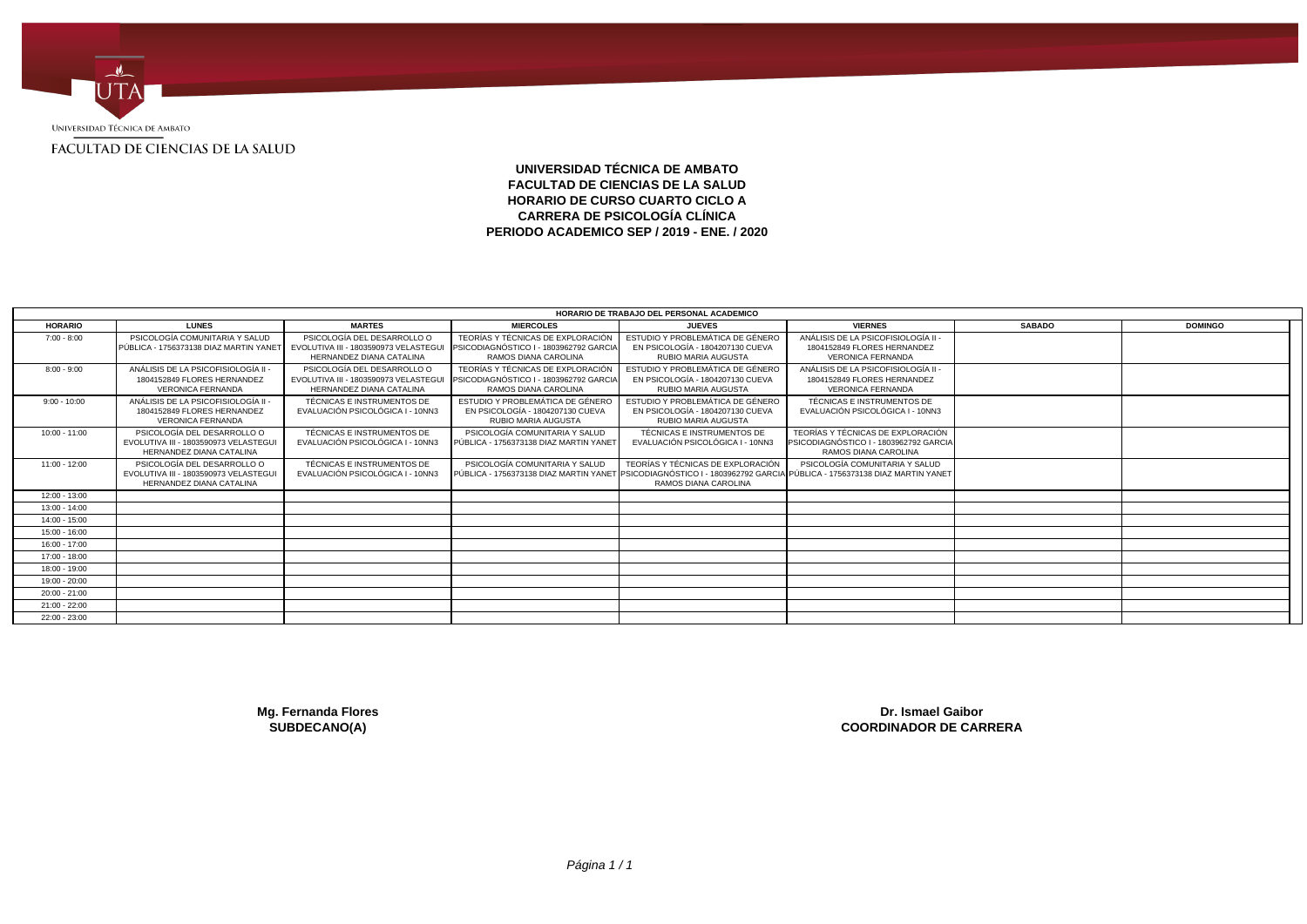

## **UNIVERSIDAD TÉCNICA DE AMBATO FACULTAD DE CIENCIAS DE LA SALUD HORARIO DE CURSO CUARTO CICLO A CARRERA DE PSICOLOGÍA CLÍNICA PERIODO ACADEMICO SEP / 2019 - ENE. / 2020**

|                 |                                                                                                 |                                                                                                 |                                                                                                     | HORARIO DE TRABAJO DEL PERSONAL ACADEMICO                                                          |                                                                                                                                                          |               |                |
|-----------------|-------------------------------------------------------------------------------------------------|-------------------------------------------------------------------------------------------------|-----------------------------------------------------------------------------------------------------|----------------------------------------------------------------------------------------------------|----------------------------------------------------------------------------------------------------------------------------------------------------------|---------------|----------------|
| <b>HORARIO</b>  | <b>LUNES</b>                                                                                    | <b>MARTES</b>                                                                                   | <b>MIERCOLES</b>                                                                                    | <b>JUEVES</b>                                                                                      | <b>VIERNES</b>                                                                                                                                           | <b>SABADO</b> | <b>DOMINGO</b> |
| $7:00 - 8:00$   | PSICOLOGÍA COMUNITARIA Y SALUD<br>PÚBLICA - 1756373138 DIAZ MARTIN YANET                        | PSICOLOGÍA DEL DESARROLLO O<br>EVOLUTIVA III - 1803590973 VELASTEGU<br>HERNANDEZ DIANA CATALINA | TEORÍAS Y TÉCNICAS DE EXPLORACIÓN<br>PSICODIAGNÓSTICO I - 1803962792 GARCIA<br>RAMOS DIANA CAROLINA | ESTUDIO Y PROBLEMÁTICA DE GÉNERO<br>EN PSICOLOGÍA - 1804207130 CUEVA<br><b>RUBIO MARIA AUGUSTA</b> | ANÁLISIS DE LA PSICOFISIOLOGÍA II<br>1804152849 FLORES HERNANDEZ<br><b>VERONICA FERNANDA</b>                                                             |               |                |
| $8:00 - 9:00$   | ANÁLISIS DE LA PSICOFISIOLOGÍA II<br>1804152849 FLORES HERNANDEZ<br><b>VERONICA FERNANDA</b>    | PSICOLOGÍA DEL DESARROLLO O<br>EVOLUTIVA III - 1803590973 VELASTEGU<br>HERNANDEZ DIANA CATALINA | TEORÍAS Y TÉCNICAS DE EXPLORACIÓN<br>PSICODIAGNÓSTICO I - 1803962792 GARCIA<br>RAMOS DIANA CAROLINA | ESTUDIO Y PROBLEMÁTICA DE GÉNERO<br>EN PSICOLOGÍA - 1804207130 CUEVA<br><b>RUBIO MARIA AUGUSTA</b> | ANÁLISIS DE LA PSICOFISIOLOGÍA II<br>1804152849 FLORES HERNANDEZ<br><b>VERONICA FERNANDA</b>                                                             |               |                |
| $9:00 - 10:00$  | ANÁLISIS DE LA PSICOFISIOLOGÍA II<br>1804152849 FLORES HERNANDEZ<br><b>VERONICA FERNANDA</b>    | TÉCNICAS E INSTRUMENTOS DE<br>EVALUACIÓN PSICOLÓGICA I - 10NN3                                  | ESTUDIO Y PROBLEMÁTICA DE GÉNERO<br>EN PSICOLOGÍA - 1804207130 CUEVA<br><b>RUBIO MARIA AUGUSTA</b>  | ESTUDIO Y PROBLEMÁTICA DE GÉNERO<br>EN PSICOLOGÍA - 1804207130 CUEVA<br><b>RUBIO MARIA AUGUSTA</b> | TÉCNICAS E INSTRUMENTOS DE<br>EVALUACIÓN PSICOLÓGICA I - 10NN3                                                                                           |               |                |
| $10:00 - 11:00$ | PSICOLOGÍA DEL DESARROLLO O<br>EVOLUTIVA III - 1803590973 VELASTEGU<br>HERNANDEZ DIANA CATALINA | TÉCNICAS E INSTRUMENTOS DE<br>EVALUACIÓN PSICOLÓGICA I - 10NN3                                  | PSICOLOGÍA COMUNITARIA Y SALUD<br>PÚBLICA - 1756373138 DIAZ MARTIN YANE                             | TÉCNICAS E INSTRUMENTOS DE<br>EVALUACIÓN PSICOLÓGICA I - 10NN3                                     | TEORÍAS Y TÉCNICAS DE EXPLORACIÓN<br>PSICODIAGNÓSTICO I - 1803962792 GARCIA<br>RAMOS DIANA CAROLINA                                                      |               |                |
| 11:00 - 12:00   | PSICOLOGÍA DEL DESARROLLO O<br>EVOLUTIVA III - 1803590973 VELASTEGU<br>HERNANDEZ DIANA CATALINA | TÉCNICAS E INSTRUMENTOS DE<br>EVALUACIÓN PSICOLÓGICA I - 10NN3                                  | PSICOLOGÍA COMUNITARIA Y SALUD                                                                      | TEORÍAS Y TÉCNICAS DE EXPLORACIÓN<br>RAMOS DIANA CAROLINA                                          | PSICOLOGÍA COMUNITARIA Y SALUD<br>PÚBLICA - 1756373138 DIAZ MARTIN YANET IPSICODIAGNÓSTICO I - 1803962792 GARCIA IPÚBLICA - 1756373138 DIAZ MARTIN YANET |               |                |
| $12:00 - 13:00$ |                                                                                                 |                                                                                                 |                                                                                                     |                                                                                                    |                                                                                                                                                          |               |                |
| $13:00 - 14:00$ |                                                                                                 |                                                                                                 |                                                                                                     |                                                                                                    |                                                                                                                                                          |               |                |
| $14:00 - 15:00$ |                                                                                                 |                                                                                                 |                                                                                                     |                                                                                                    |                                                                                                                                                          |               |                |
| $15:00 - 16:00$ |                                                                                                 |                                                                                                 |                                                                                                     |                                                                                                    |                                                                                                                                                          |               |                |
| $16:00 - 17:00$ |                                                                                                 |                                                                                                 |                                                                                                     |                                                                                                    |                                                                                                                                                          |               |                |
| 17:00 - 18:00   |                                                                                                 |                                                                                                 |                                                                                                     |                                                                                                    |                                                                                                                                                          |               |                |
| 18:00 - 19:00   |                                                                                                 |                                                                                                 |                                                                                                     |                                                                                                    |                                                                                                                                                          |               |                |
| 19:00 - 20:00   |                                                                                                 |                                                                                                 |                                                                                                     |                                                                                                    |                                                                                                                                                          |               |                |
| $20:00 - 21:00$ |                                                                                                 |                                                                                                 |                                                                                                     |                                                                                                    |                                                                                                                                                          |               |                |
| $21:00 - 22:00$ |                                                                                                 |                                                                                                 |                                                                                                     |                                                                                                    |                                                                                                                                                          |               |                |
| 22:00 - 23:00   |                                                                                                 |                                                                                                 |                                                                                                     |                                                                                                    |                                                                                                                                                          |               |                |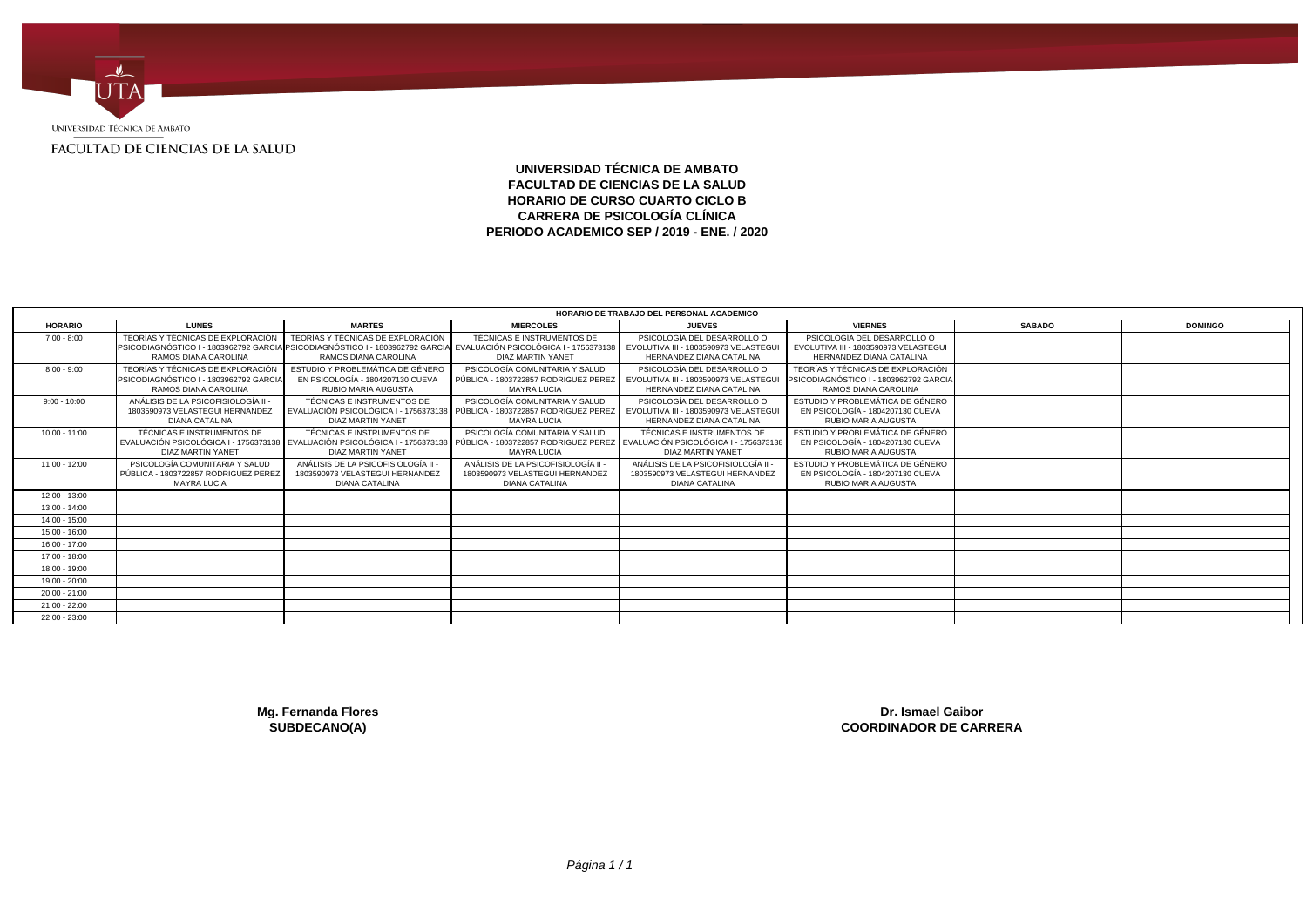

## **UNIVERSIDAD TÉCNICA DE AMBATO FACULTAD DE CIENCIAS DE LA SALUD HORARIO DE CURSO CUARTO CICLO B CARRERA DE PSICOLOGÍA CLÍNICA PERIODO ACADEMICO SEP / 2019 - ENE. / 2020**

|                 |                                                                                                                                             |                                                                                               |                                                                                                                                                                                                                | HORARIO DE TRABAJO DEL PERSONAL ACADEMICO                                                        |                                                                                                     |               |                |
|-----------------|---------------------------------------------------------------------------------------------------------------------------------------------|-----------------------------------------------------------------------------------------------|----------------------------------------------------------------------------------------------------------------------------------------------------------------------------------------------------------------|--------------------------------------------------------------------------------------------------|-----------------------------------------------------------------------------------------------------|---------------|----------------|
| <b>HORARIO</b>  | <b>LUNES</b>                                                                                                                                | <b>MARTES</b>                                                                                 | <b>MIERCOLES</b>                                                                                                                                                                                               | <b>JUEVES</b>                                                                                    | <b>VIERNES</b>                                                                                      | <b>SABADO</b> | <b>DOMINGO</b> |
| $7:00 - 8:00$   | TEORÍAS Y TÉCNICAS DE EXPLORACIÓN                                                                                                           | TEORÍAS Y TÉCNICAS DE EXPLORACIÓN                                                             | TÉCNICAS E INSTRUMENTOS DE                                                                                                                                                                                     | PSICOLOGÍA DEL DESARROLLO O                                                                      | PSICOLOGÍA DEL DESARROLLO O                                                                         |               |                |
|                 | PSICODIAGNÓSTICO I - 1803962792 GARCIA PSICODIAGNÓSTICO I - 1803962792 GARCIA EVALUACIÓN PSICOLÓGICA I - 1756373138<br>RAMOS DIANA CAROLINA | RAMOS DIANA CAROLINA                                                                          | DIAZ MARTIN YANET                                                                                                                                                                                              | EVOLUTIVA III - 1803590973 VELASTEGUI<br>HERNANDEZ DIANA CATALINA                                | EVOLUTIVA III - 1803590973 VELASTEGUI<br><b>HERNANDEZ DIANA CATALINA</b>                            |               |                |
| $8:00 - 9:00$   | TEORÍAS Y TÉCNICAS DE EXPLORACIÓN<br>PSICODIAGNÓSTICO I - 1803962792 GARCIA<br>RAMOS DIANA CAROLINA                                         | ESTUDIO Y PROBLEMÁTICA DE GÉNERO<br>EN PSICOLOGÍA - 1804207130 CUEVA<br>RUBIO MARIA AUGUSTA   | PSICOLOGÍA COMUNITARIA Y SALUD<br>PÚBLICA - 1803722857 RODRIGUEZ PEREZ<br><b>MAYRA LUCIA</b>                                                                                                                   | PSICOLOGÍA DEL DESARROLLO O<br>EVOLUTIVA III - 1803590973 VELASTEGU<br>HERNANDEZ DIANA CATALINA  | TEORÍAS Y TÉCNICAS DE EXPLORACIÓN<br>PSICODIAGNÓSTICO I - 1803962792 GARCIA<br>RAMOS DIANA CAROLINA |               |                |
| $9:00 - 10:00$  | ANÁLISIS DE LA PSICOFISIOLOGÍA II<br>1803590973 VELASTEGUI HERNANDEZ<br><b>DIANA CATALINA</b>                                               | TÉCNICAS E INSTRUMENTOS DE<br><b>DIAZ MARTIN YANET</b>                                        | PSICOLOGÍA COMUNITARIA Y SALUD<br>EVALUACIÓN PSICOLÓGICA I - 1756373138 PÚBLICA - 1803722857 RODRIGUEZ PEREZ<br><b>MAYRA LUCIA</b>                                                                             | PSICOLOGÍA DEL DESARROLLO O<br>EVOLUTIVA III - 1803590973 VELASTEGUI<br>HERNANDEZ DIANA CATALINA | ESTUDIO Y PROBLEMÁTICA DE GÉNERO<br>EN PSICOLOGÍA - 1804207130 CUEVA<br><b>RUBIO MARIA AUGUSTA</b>  |               |                |
| $10:00 - 11:00$ | TÉCNICAS E INSTRUMENTOS DE<br>DIAZ MARTIN YANET                                                                                             | TÉCNICAS E INSTRUMENTOS DE<br><b>DIAZ MARTIN YANET</b>                                        | PSICOLOGÍA COMUNITARIA Y SALUD<br>EVALUACIÓN PSICOLÓGICA I - 1756373138 EVALUACIÓN PSICOLÓGICA I - 1756373138 PÚBLICA - 1803722857 RODRIGUEZ PEREZ EVALUACIÓN PSICOLÓGICA I - 1756373138<br><b>MAYRA LUCIA</b> | TÉCNICAS E INSTRUMENTOS DE<br>DIAZ MARTIN YANET                                                  | ESTUDIO Y PROBLEMÁTICA DE GÉNERO<br>EN PSICOLOGÍA - 1804207130 CUEVA<br><b>RUBIO MARIA AUGUSTA</b>  |               |                |
| 11:00 - 12:00   | PSICOLOGÍA COMUNITARIA Y SALUD<br>PÚBLICA - 1803722857 RODRIGUEZ PEREZ<br><b>MAYRA LUCIA</b>                                                | ANÁLISIS DE LA PSICOFISIOLOGÍA II<br>1803590973 VELASTEGUI HERNANDEZ<br><b>DIANA CATALINA</b> | ANÁLISIS DE LA PSICOFISIOLOGÍA II<br>1803590973 VELASTEGUI HERNANDEZ<br><b>DIANA CATALINA</b>                                                                                                                  | ANÁLISIS DE LA PSICOFISIOLOGÍA II<br>1803590973 VELASTEGUI HERNANDEZ<br><b>DIANA CATALINA</b>    | ESTUDIO Y PROBLEMÁTICA DE GÉNERO<br>EN PSICOLOGÍA - 1804207130 CUEVA<br>RUBIO MARIA AUGUSTA         |               |                |
| 12:00 - 13:00   |                                                                                                                                             |                                                                                               |                                                                                                                                                                                                                |                                                                                                  |                                                                                                     |               |                |
| $13:00 - 14:00$ |                                                                                                                                             |                                                                                               |                                                                                                                                                                                                                |                                                                                                  |                                                                                                     |               |                |
| $14:00 - 15:00$ |                                                                                                                                             |                                                                                               |                                                                                                                                                                                                                |                                                                                                  |                                                                                                     |               |                |
| $15:00 - 16:00$ |                                                                                                                                             |                                                                                               |                                                                                                                                                                                                                |                                                                                                  |                                                                                                     |               |                |
| 16:00 - 17:00   |                                                                                                                                             |                                                                                               |                                                                                                                                                                                                                |                                                                                                  |                                                                                                     |               |                |
| 17:00 - 18:00   |                                                                                                                                             |                                                                                               |                                                                                                                                                                                                                |                                                                                                  |                                                                                                     |               |                |
| 18:00 - 19:00   |                                                                                                                                             |                                                                                               |                                                                                                                                                                                                                |                                                                                                  |                                                                                                     |               |                |
| 19:00 - 20:00   |                                                                                                                                             |                                                                                               |                                                                                                                                                                                                                |                                                                                                  |                                                                                                     |               |                |
| 20:00 - 21:00   |                                                                                                                                             |                                                                                               |                                                                                                                                                                                                                |                                                                                                  |                                                                                                     |               |                |
| 21:00 - 22:00   |                                                                                                                                             |                                                                                               |                                                                                                                                                                                                                |                                                                                                  |                                                                                                     |               |                |
| 22:00 - 23:00   |                                                                                                                                             |                                                                                               |                                                                                                                                                                                                                |                                                                                                  |                                                                                                     |               |                |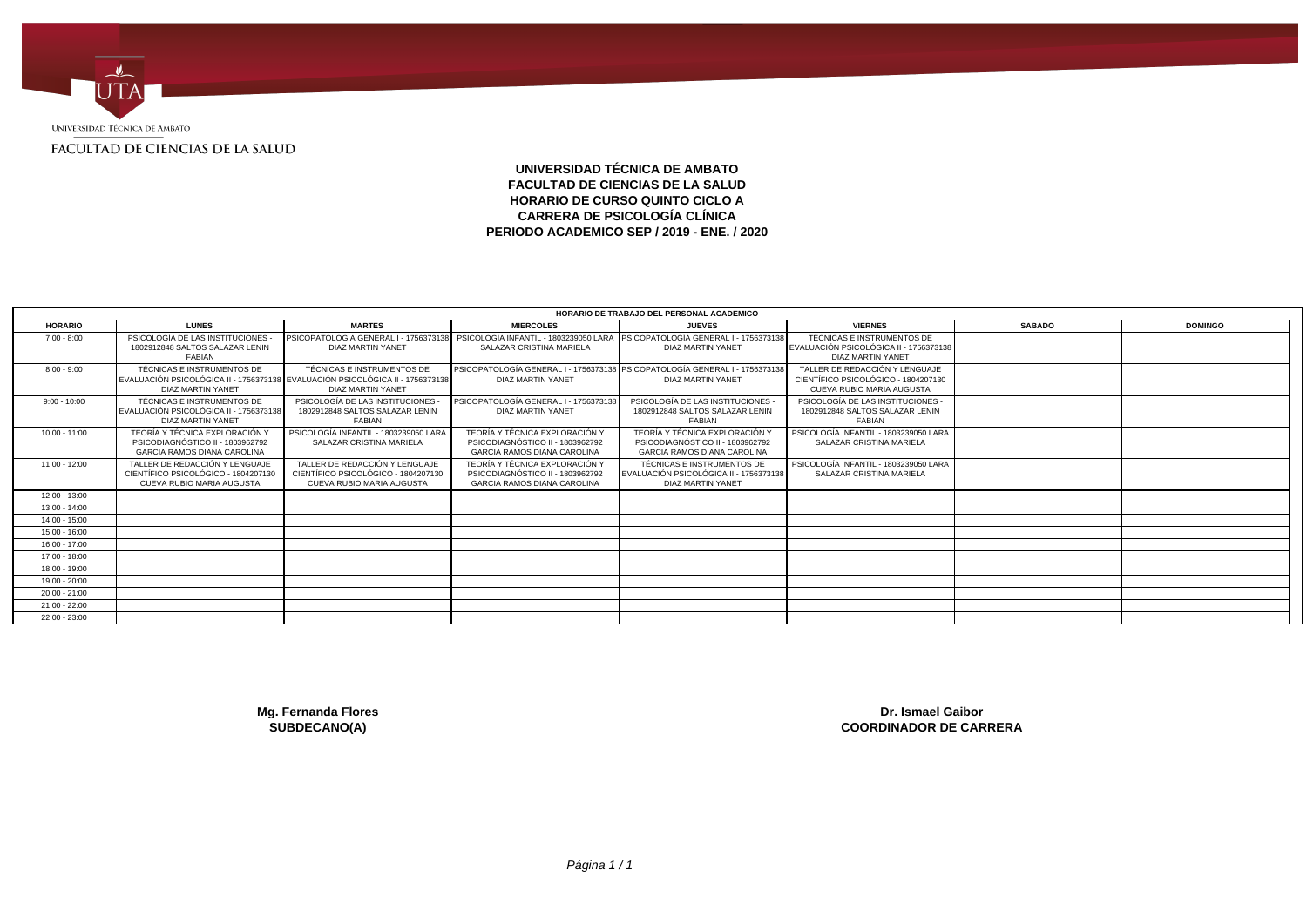

# **UNIVERSIDAD TÉCNICA DE AMBATO FACULTAD DE CIENCIAS DE LA SALUD HORARIO DE CURSO QUINTO CICLO A CARRERA DE PSICOLOGÍA CLÍNICA PERIODO ACADEMICO SEP / 2019 - ENE. / 2020**

|                 |                                                                                                                                  |                                                                                                    |                                                                                                                                               | HORARIO DE TRABAJO DEL PERSONAL ACADEMICO                                                                |                                                                                                    |               |                |
|-----------------|----------------------------------------------------------------------------------------------------------------------------------|----------------------------------------------------------------------------------------------------|-----------------------------------------------------------------------------------------------------------------------------------------------|----------------------------------------------------------------------------------------------------------|----------------------------------------------------------------------------------------------------|---------------|----------------|
| <b>HORARIO</b>  | <b>LUNES</b>                                                                                                                     | <b>MARTES</b>                                                                                      | <b>MIERCOLES</b>                                                                                                                              | <b>JUEVES</b>                                                                                            | <b>VIERNES</b>                                                                                     | <b>SABADO</b> | <b>DOMINGO</b> |
| $7:00 - 8:00$   | PSICOLOGÍA DE LAS INSTITUCIONES<br>1802912848 SALTOS SALAZAR LENIN<br>FABIAN                                                     | DIAZ MARTIN YANET                                                                                  | PSICOPATOLOGÍA GENERAL I - 1756373138 PSICOLOGÍA INFANTIL - 1803239050 LARA PSICOPATOLOGÍA GENERAL I - 1756373138<br>SALAZAR CRISTINA MARIELA | DIAZ MARTIN YANET                                                                                        | TÉCNICAS E INSTRUMENTOS DE<br>EVALUACIÓN PSICOLÓGICA II - 1756373138<br><b>DIAZ MARTIN YANET</b>   |               |                |
| $8:00 - 9:00$   | TÉCNICAS E INSTRUMENTOS DE<br>EVALUACIÓN PSICOLÓGICA II - 1756373138 EVALUACIÓN PSICOLÓGICA II - 1756373138<br>DIAZ MARTIN YANET | TÉCNICAS E INSTRUMENTOS DE<br><b>DIAZ MARTIN YANET</b>                                             | PSICOPATOLOGÍA GENERAL I - 1756373138 PSICOPATOLOGÍA GENERAL I - 1756373138<br><b>DIAZ MARTIN YANET</b>                                       | DIAZ MARTIN YANET                                                                                        | TALLER DE REDACCIÓN Y LENGUAJE<br>CIENTÍFICO PSICOLÓGICO - 1804207130<br>CUEVA RUBIO MARIA AUGUSTA |               |                |
| $9:00 - 10:00$  | TÉCNICAS E INSTRUMENTOS DE<br>EVALUACIÓN PSICOLÓGICA II - 1756373138<br>DIAZ MARTIN YANET                                        | PSICOLOGÍA DE LAS INSTITUCIONES<br>1802912848 SALTOS SALAZAR LENIN<br>FABIAN                       | PSICOPATOLOGÍA GENERAL I - 1756373138<br>DIAZ MARTIN YANET                                                                                    | PSICOLOGÍA DE LAS INSTITUCIONES<br>1802912848 SALTOS SALAZAR LENIN<br>FABIAN                             | PSICOLOGÍA DE LAS INSTITUCIONES -<br>1802912848 SALTOS SALAZAR LENIN<br>FABIAN                     |               |                |
| $10:00 - 11:00$ | TEORÍA Y TÉCNICA EXPLORACIÓN Y<br>PSICODIAGNÓSTICO II - 1803962792<br><b>GARCIA RAMOS DIANA CAROLINA</b>                         | PSICOLOGÍA INFANTIL - 1803239050 LARA<br>SALAZAR CRISTINA MARIELA                                  | TEORÍA Y TÉCNICA EXPLORACIÓN Y<br>PSICODIAGNÓSTICO II - 1803962792<br><b>GARCIA RAMOS DIANA CAROLINA</b>                                      | TEORÍA Y TÉCNICA EXPLORACIÓN Y<br>PSICODIAGNÓSTICO II - 1803962792<br><b>GARCIA RAMOS DIANA CAROLINA</b> | PSICOLOGÍA INFANTIL - 1803239050 LARA<br>SALAZAR CRISTINA MARIELA                                  |               |                |
| $11:00 - 12:00$ | TALLER DE REDACCIÓN Y LENGUAJE<br>CIENTÍFICO PSICOLÓGICO - 1804207130<br>CUEVA RUBIO MARIA AUGUSTA                               | TALLER DE REDACCIÓN Y LENGUAJE<br>CIENTÍFICO PSICOLÓGICO - 1804207130<br>CUEVA RUBIO MARIA AUGUSTA | TEORÍA Y TÉCNICA EXPLORACIÓN Y<br>PSICODIAGNÓSTICO II - 1803962792<br><b>GARCIA RAMOS DIANA CAROLINA</b>                                      | <b>TÉCNICAS E INSTRUMENTOS DE</b><br>EVALUACIÓN PSICOLÓGICA II - 1756373138<br>DIAZ MARTIN YANET         | PSICOLOGÍA INFANTIL - 1803239050 LARA<br>SALAZAR CRISTINA MARIELA                                  |               |                |
| $12:00 - 13:00$ |                                                                                                                                  |                                                                                                    |                                                                                                                                               |                                                                                                          |                                                                                                    |               |                |
| $13:00 - 14:00$ |                                                                                                                                  |                                                                                                    |                                                                                                                                               |                                                                                                          |                                                                                                    |               |                |
| 14:00 - 15:00   |                                                                                                                                  |                                                                                                    |                                                                                                                                               |                                                                                                          |                                                                                                    |               |                |
| $15:00 - 16:00$ |                                                                                                                                  |                                                                                                    |                                                                                                                                               |                                                                                                          |                                                                                                    |               |                |
| $16:00 - 17:00$ |                                                                                                                                  |                                                                                                    |                                                                                                                                               |                                                                                                          |                                                                                                    |               |                |
| 17:00 - 18:00   |                                                                                                                                  |                                                                                                    |                                                                                                                                               |                                                                                                          |                                                                                                    |               |                |
| 18:00 - 19:00   |                                                                                                                                  |                                                                                                    |                                                                                                                                               |                                                                                                          |                                                                                                    |               |                |
| 19:00 - 20:00   |                                                                                                                                  |                                                                                                    |                                                                                                                                               |                                                                                                          |                                                                                                    |               |                |
| $20:00 - 21:00$ |                                                                                                                                  |                                                                                                    |                                                                                                                                               |                                                                                                          |                                                                                                    |               |                |
| $21:00 - 22:00$ |                                                                                                                                  |                                                                                                    |                                                                                                                                               |                                                                                                          |                                                                                                    |               |                |
| $22:00 - 23:00$ |                                                                                                                                  |                                                                                                    |                                                                                                                                               |                                                                                                          |                                                                                                    |               |                |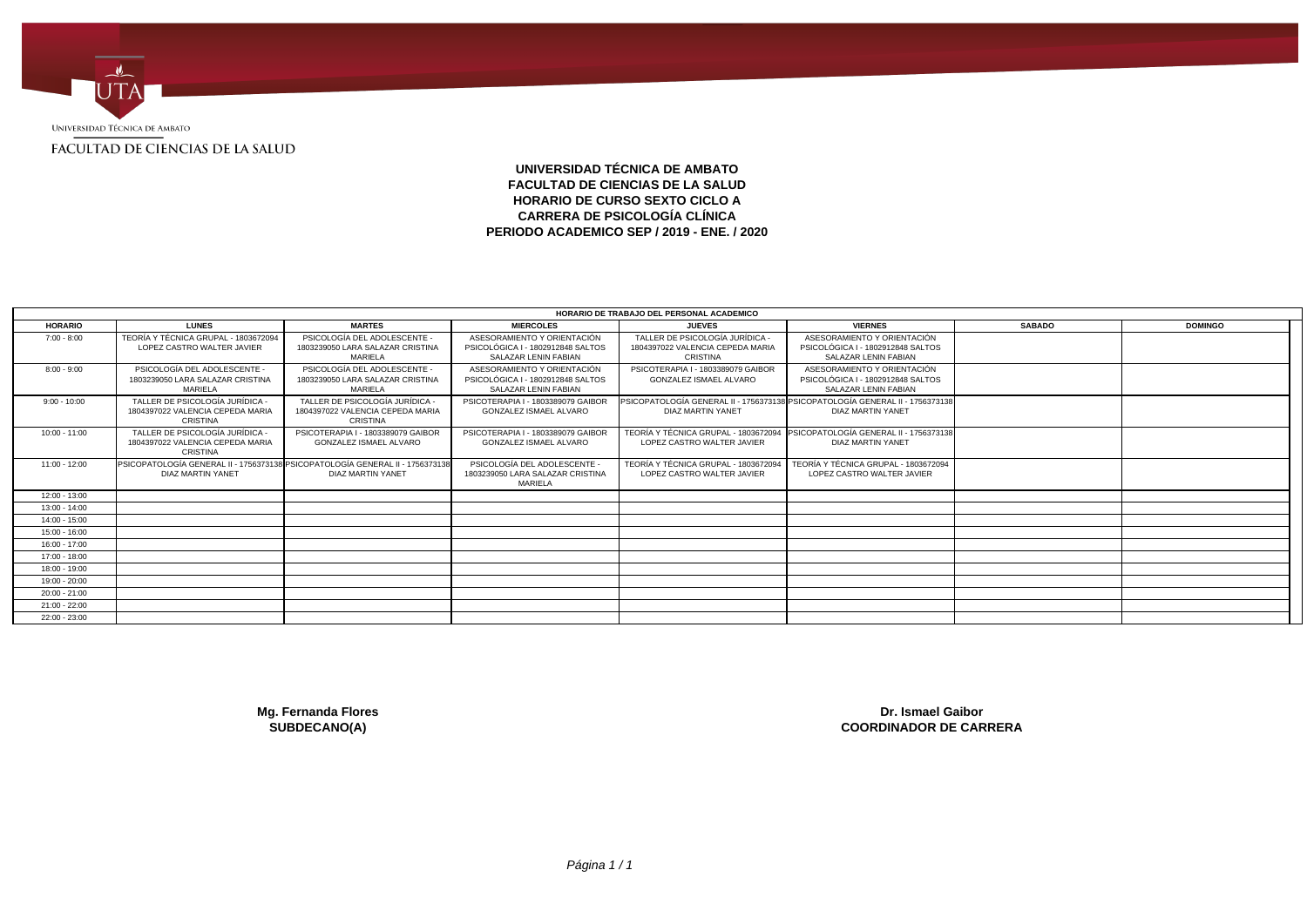

# **UNIVERSIDAD TÉCNICA DE AMBATO FACULTAD DE CIENCIAS DE LA SALUD HORARIO DE CURSO SEXTO CICLO A CARRERA DE PSICOLOGÍA CLÍNICA PERIODO ACADEMICO SEP / 2019 - ENE. / 2020**

|                 |                                                                                                    |                                                                                 |                                                                                          | HORARIO DE TRABAJO DEL PERSONAL ACADEMICO                                            |                                                                                                    |               |                |
|-----------------|----------------------------------------------------------------------------------------------------|---------------------------------------------------------------------------------|------------------------------------------------------------------------------------------|--------------------------------------------------------------------------------------|----------------------------------------------------------------------------------------------------|---------------|----------------|
| <b>HORARIO</b>  | <b>LUNES</b>                                                                                       | <b>MARTES</b>                                                                   | <b>MIERCOLES</b>                                                                         | <b>JUEVES</b>                                                                        | <b>VIERNES</b>                                                                                     | <b>SABADO</b> | <b>DOMINGO</b> |
| $7:00 - 8:00$   | TEORÍA Y TÉCNICA GRUPAL - 1803672094<br>LOPEZ CASTRO WALTER JAVIER                                 | PSICOLOGÍA DEL ADOLESCENTE -<br>1803239050 LARA SALAZAR CRISTINA<br>MARIELA     | ASESORAMIENTO Y ORIENTACIÓN<br>PSICOLÓGICA I - 1802912848 SALTOS<br>SALAZAR LENIN FABIAN | TALLER DE PSICOLOGÍA JURÍDICA<br>1804397022 VALENCIA CEPEDA MARIA<br><b>CRISTINA</b> | ASESORAMIENTO Y ORIENTACIÓN<br>PSICOLÓGICA I - 1802912848 SALTOS<br>SALAZAR LENIN FABIAN           |               |                |
| $8:00 - 9:00$   | PSICOLOGÍA DEL ADOLESCENTE -<br>1803239050 LARA SALAZAR CRISTINA<br>MARIELA                        | PSICOLOGÍA DEL ADOLESCENTE -<br>1803239050 LARA SALAZAR CRISTINA<br>MARIELA     | ASESORAMIENTO Y ORIENTACIÓN<br>PSICOLÓGICA I - 1802912848 SALTOS<br>SALAZAR LENIN FABIAN | PSICOTERAPIA I - 1803389079 GAIBOR<br><b>GONZALEZ ISMAEL ALVARO</b>                  | ASESORAMIENTO Y ORIENTACIÓN<br>PSICOLÓGICA I - 1802912848 SALTOS<br>SALAZAR LENIN FABIAN           |               |                |
| $9:00 - 10:00$  | TALLER DE PSICOLOGÍA JURÍDICA -<br>1804397022 VALENCIA CEPEDA MARIA<br>CRISTINA                    | TALLER DE PSICOLOGÍA JURÍDICA -<br>1804397022 VALENCIA CEPEDA MARIA<br>CRISTINA | PSICOTERAPIA I - 1803389079 GAIBOR<br><b>GONZALEZ ISMAEL ALVARO</b>                      | DIAZ MARTIN YANET                                                                    | PSICOPATOLOGÍA GENERAL II - 1756373138 PSICOPATOLOGÍA GENERAL II - 1756373138<br>DIAZ MARTIN YANET |               |                |
| $10:00 - 11:00$ | TALLER DE PSICOLOGÍA JURÍDICA -<br>1804397022 VALENCIA CEPEDA MARIA<br>CRISTINA                    | PSICOTERAPIA I - 1803389079 GAIBOR<br><b>GONZALEZ ISMAEL ALVARO</b>             | PSICOTERAPIA I - 1803389079 GAIBOR<br>GONZALEZ ISMAEL ALVARO                             | TEORÍA Y TÉCNICA GRUPAL - 180367209<br>LOPEZ CASTRO WALTER JAVIER                    | PSICOPATOLOGÍA GENERAL II - 1756373138<br>DIAZ MARTIN YANET                                        |               |                |
| 11:00 - 12:00   | PSICOPATOLOGÍA GENERAL II - 1756373138 PSICOPATOLOGÍA GENERAL II - 1756373138<br>DIAZ MARTIN YANET | DIAZ MARTIN YANET                                                               | PSICOLOGÍA DEL ADOLESCENTE<br>1803239050 LARA SALAZAR CRISTINA<br>MARIELA                | TEORÍA Y TÉCNICA GRUPAL - 180367209<br>LOPEZ CASTRO WALTER JAVIER                    | TEORÍA Y TÉCNICA GRUPAL - 1803672094<br>LOPEZ CASTRO WALTER JAVIER                                 |               |                |
| 12:00 - 13:00   |                                                                                                    |                                                                                 |                                                                                          |                                                                                      |                                                                                                    |               |                |
| $13:00 - 14:00$ |                                                                                                    |                                                                                 |                                                                                          |                                                                                      |                                                                                                    |               |                |
| $14:00 - 15:00$ |                                                                                                    |                                                                                 |                                                                                          |                                                                                      |                                                                                                    |               |                |
| $15:00 - 16:00$ |                                                                                                    |                                                                                 |                                                                                          |                                                                                      |                                                                                                    |               |                |
| 16:00 - 17:00   |                                                                                                    |                                                                                 |                                                                                          |                                                                                      |                                                                                                    |               |                |
| 17:00 - 18:00   |                                                                                                    |                                                                                 |                                                                                          |                                                                                      |                                                                                                    |               |                |
| 18:00 - 19:00   |                                                                                                    |                                                                                 |                                                                                          |                                                                                      |                                                                                                    |               |                |
| 19:00 - 20:00   |                                                                                                    |                                                                                 |                                                                                          |                                                                                      |                                                                                                    |               |                |
| $20:00 - 21:00$ |                                                                                                    |                                                                                 |                                                                                          |                                                                                      |                                                                                                    |               |                |
| 21:00 - 22:00   |                                                                                                    |                                                                                 |                                                                                          |                                                                                      |                                                                                                    |               |                |
| 22:00 - 23:00   |                                                                                                    |                                                                                 |                                                                                          |                                                                                      |                                                                                                    |               |                |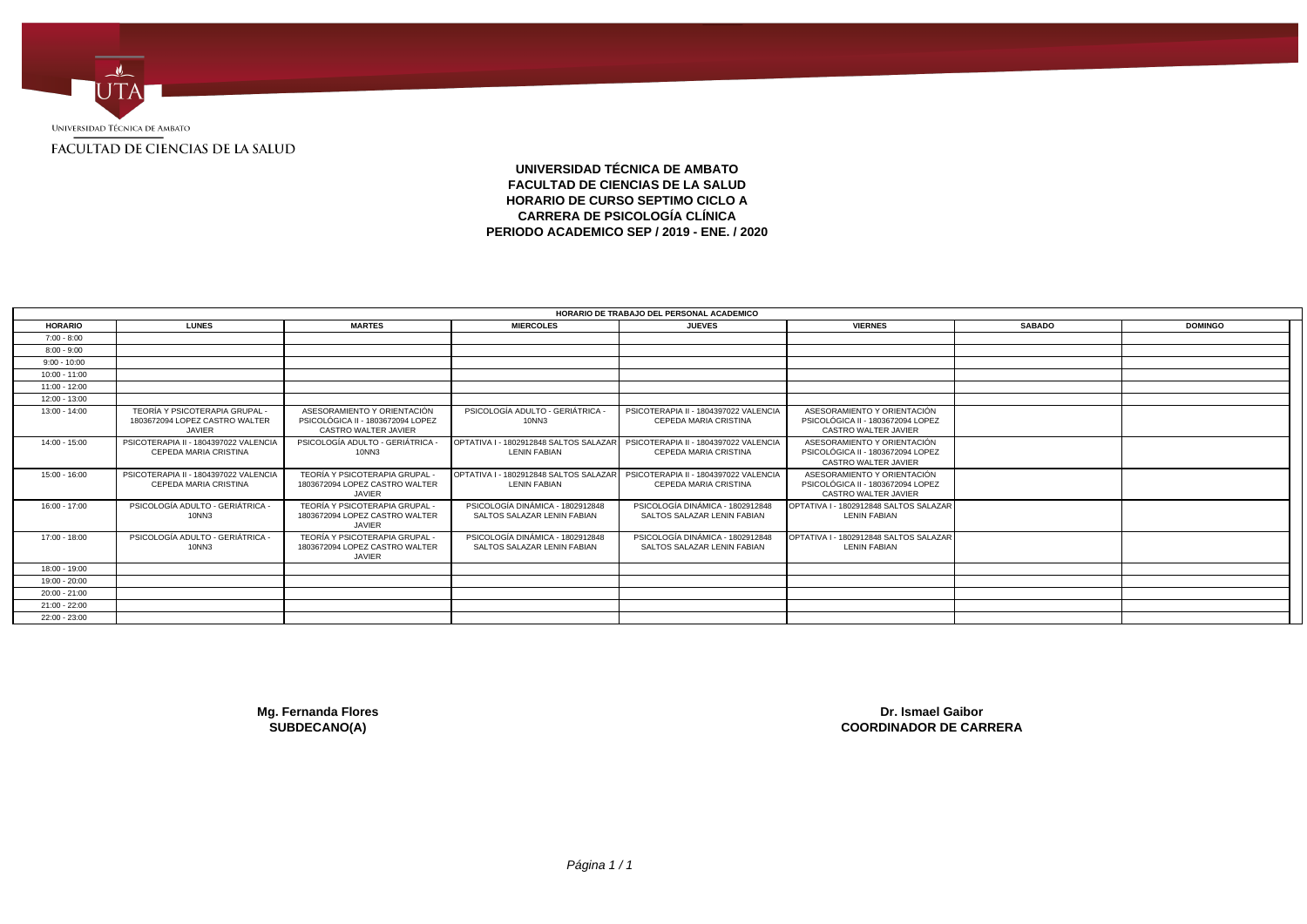

**UNIVERSIDAD TÉCNICA DE AMBATO FACULTAD DE CIENCIAS DE LA SALUD HORARIO DE CURSO SEPTIMO CICLO A CARRERA DE PSICOLOGÍA CLÍNICA PERIODO ACADEMICO SEP / 2019 - ENE. / 2020**

|                 |                                                                            |                                                                                                 |                                                                                                       | HORARIO DE TRABAJO DEL PERSONAL ACADEMICO                             |                                                                                                 |               |                |
|-----------------|----------------------------------------------------------------------------|-------------------------------------------------------------------------------------------------|-------------------------------------------------------------------------------------------------------|-----------------------------------------------------------------------|-------------------------------------------------------------------------------------------------|---------------|----------------|
| <b>HORARIO</b>  | <b>LUNES</b>                                                               | <b>MARTES</b>                                                                                   | <b>MIERCOLES</b>                                                                                      | <b>JUEVES</b>                                                         | <b>VIERNES</b>                                                                                  | <b>SABADO</b> | <b>DOMINGO</b> |
| $7:00 - 8:00$   |                                                                            |                                                                                                 |                                                                                                       |                                                                       |                                                                                                 |               |                |
| $8:00 - 9:00$   |                                                                            |                                                                                                 |                                                                                                       |                                                                       |                                                                                                 |               |                |
| $9:00 - 10:00$  |                                                                            |                                                                                                 |                                                                                                       |                                                                       |                                                                                                 |               |                |
| $10:00 - 11:00$ |                                                                            |                                                                                                 |                                                                                                       |                                                                       |                                                                                                 |               |                |
| $11:00 - 12:00$ |                                                                            |                                                                                                 |                                                                                                       |                                                                       |                                                                                                 |               |                |
| 12:00 - 13:00   |                                                                            |                                                                                                 |                                                                                                       |                                                                       |                                                                                                 |               |                |
| $13:00 - 14:00$ | TEORÍA Y PSICOTERAPIA GRUPAL -<br>1803672094 LOPEZ CASTRO WALTER<br>JAVIER | ASESORAMIENTO Y ORIENTACIÓN<br>PSICOLÓGICA II - 1803672094 LOPEZ<br><b>CASTRO WALTER JAVIER</b> | PSICOLOGÍA ADULTO - GERIÁTRICA<br><b>10NN3</b>                                                        | PSICOTERAPIA II - 1804397022 VALENCIA<br><b>CEPEDA MARIA CRISTINA</b> | ASESORAMIENTO Y ORIENTACIÓN<br>PSICOLÓGICA II - 1803672094 LOPEZ<br><b>CASTRO WALTER JAVIER</b> |               |                |
| 14:00 - 15:00   | PSICOTERAPIA II - 1804397022 VALENCIA<br>CEPEDA MARIA CRISTINA             | PSICOLOGÍA ADULTO - GERIÁTRICA<br>10NN3                                                         | OPTATIVA I - 1802912848 SALTOS SALAZAR   PSICOTERAPIA II - 1804397022 VALENCIA<br><b>LENIN FABIAN</b> | <b>CEPEDA MARIA CRISTINA</b>                                          | ASESORAMIENTO Y ORIENTACIÓN<br>PSICOLÓGICA II - 1803672094 LOPEZ<br><b>CASTRO WALTER JAVIER</b> |               |                |
| $15:00 - 16:00$ | PSICOTERAPIA II - 1804397022 VALENCIA<br>CEPEDA MARIA CRISTINA             | TEORÍA Y PSICOTERAPIA GRUPAL<br>1803672094 LOPEZ CASTRO WALTER<br>JAVIER                        | OPTATIVA I - 1802912848 SALTOS SALAZAR   PSICOTERAPIA II - 1804397022 VALENCIA<br><b>LENIN FABIAN</b> | CEPEDA MARIA CRISTINA                                                 | ASESORAMIENTO Y ORIENTACIÓN<br>PSICOLÓGICA II - 1803672094 LOPEZ<br><b>CASTRO WALTER JAVIER</b> |               |                |
| $16:00 - 17:00$ | PSICOLOGÍA ADULTO - GERIÁTRICA -<br>10NN3                                  | TEORÍA Y PSICOTERAPIA GRUPAL -<br>1803672094 LOPEZ CASTRO WALTER<br>JAVIER                      | PSICOLOGÍA DINÁMICA - 1802912848<br>SALTOS SALAZAR LENIN FABIAN                                       | PSICOLOGÍA DINÁMICA - 1802912848<br>SALTOS SALAZAR LENIN FABIAN       | OPTATIVA I - 1802912848 SALTOS SALAZAR<br><b>LENIN FABIAN</b>                                   |               |                |
| 17:00 - 18:00   | PSICOLOGÍA ADULTO - GERIÁTRICA -<br>10NN3                                  | TEORÍA Y PSICOTERAPIA GRUPAL -<br>1803672094 LOPEZ CASTRO WALTER<br><b>JAVIER</b>               | PSICOLOGÍA DINÁMICA - 1802912848<br>SALTOS SALAZAR LENIN FABIAN                                       | PSICOLOGÍA DINÁMICA - 1802912848<br>SALTOS SALAZAR LENIN FABIAN       | OPTATIVA I - 1802912848 SALTOS SALAZAR<br><b>LENIN FABIAN</b>                                   |               |                |
| 18:00 - 19:00   |                                                                            |                                                                                                 |                                                                                                       |                                                                       |                                                                                                 |               |                |
| 19:00 - 20:00   |                                                                            |                                                                                                 |                                                                                                       |                                                                       |                                                                                                 |               |                |
| $20:00 - 21:00$ |                                                                            |                                                                                                 |                                                                                                       |                                                                       |                                                                                                 |               |                |
| 21:00 - 22:00   |                                                                            |                                                                                                 |                                                                                                       |                                                                       |                                                                                                 |               |                |
| 22:00 - 23:00   |                                                                            |                                                                                                 |                                                                                                       |                                                                       |                                                                                                 |               |                |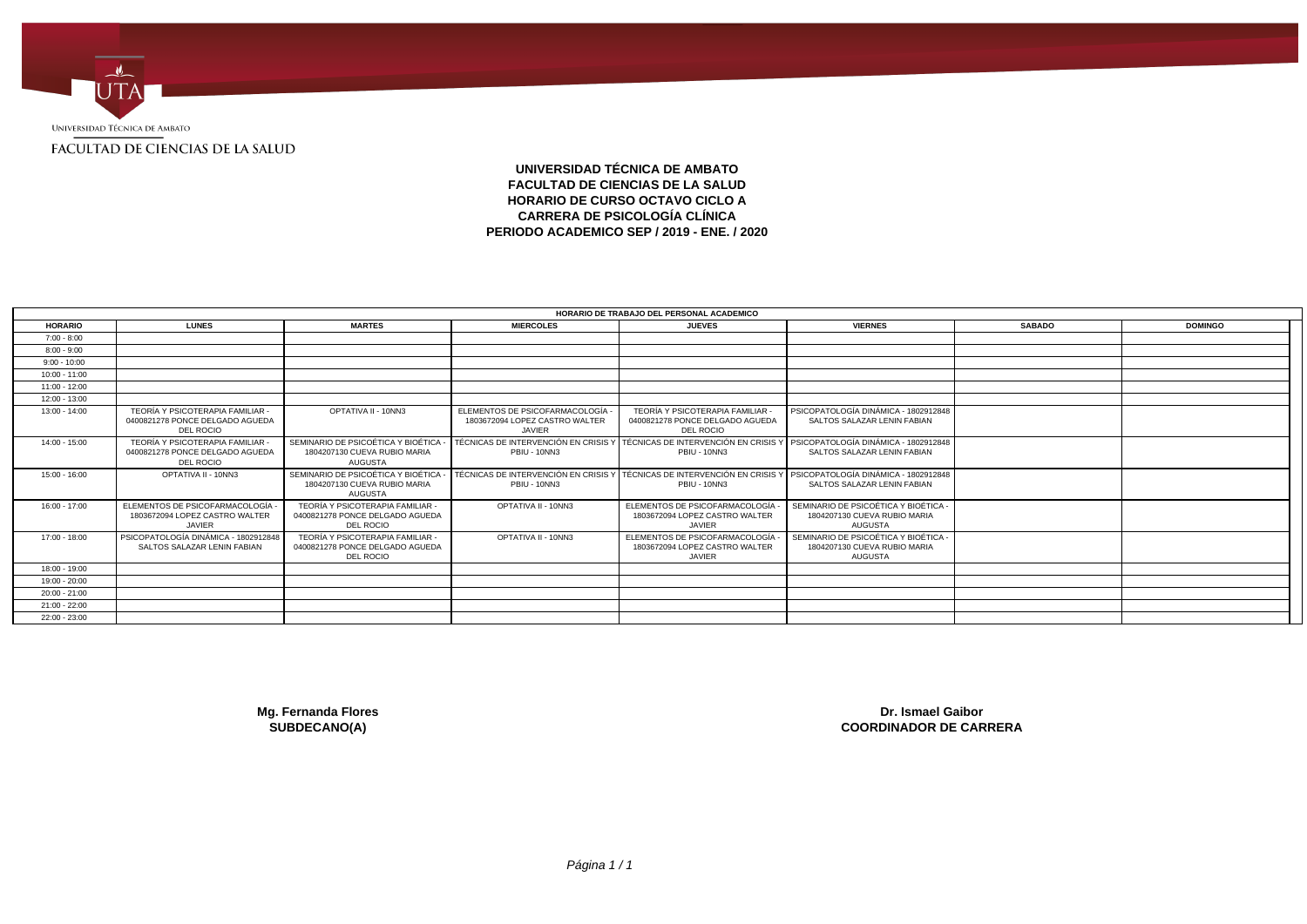

## **UNIVERSIDAD TÉCNICA DE AMBATO FACULTAD DE CIENCIAS DE LA SALUD HORARIO DE CURSO OCTAVO CICLO A CARRERA DE PSICOLOGÍA CLÍNICA PERIODO ACADEMICO SEP / 2019 - ENE. / 2020**

|                 |                                                                                  |                                                                                      |                                                                                   | HORARIO DE TRABAJO DEL PERSONAL ACADEMICO                                                 |                                                                                      |               |                |  |
|-----------------|----------------------------------------------------------------------------------|--------------------------------------------------------------------------------------|-----------------------------------------------------------------------------------|-------------------------------------------------------------------------------------------|--------------------------------------------------------------------------------------|---------------|----------------|--|
| <b>HORARIO</b>  | <b>LUNES</b>                                                                     | <b>MARTES</b>                                                                        | <b>MIERCOLES</b>                                                                  | <b>JUEVES</b>                                                                             | <b>VIERNES</b>                                                                       | <b>SABADO</b> | <b>DOMINGO</b> |  |
| $7:00 - 8:00$   |                                                                                  |                                                                                      |                                                                                   |                                                                                           |                                                                                      |               |                |  |
| $8:00 - 9:00$   |                                                                                  |                                                                                      |                                                                                   |                                                                                           |                                                                                      |               |                |  |
| $9:00 - 10:00$  |                                                                                  |                                                                                      |                                                                                   |                                                                                           |                                                                                      |               |                |  |
| $10:00 - 11:00$ |                                                                                  |                                                                                      |                                                                                   |                                                                                           |                                                                                      |               |                |  |
| 11:00 - 12:00   |                                                                                  |                                                                                      |                                                                                   |                                                                                           |                                                                                      |               |                |  |
| 12:00 - 13:00   |                                                                                  |                                                                                      |                                                                                   |                                                                                           |                                                                                      |               |                |  |
| $13:00 - 14:00$ | TEORÍA Y PSICOTERAPIA FAMILIAR -<br>0400821278 PONCE DELGADO AGUEDA<br>DEL ROCIO | OPTATIVA II - 10NN3                                                                  | ELEMENTOS DE PSICOFARMACOLOGÍA<br>1803672094 LOPEZ CASTRO WALTER<br><b>JAVIER</b> | TEORÍA Y PSICOTERAPIA FAMILIAR<br>0400821278 PONCE DELGADO AGUEDA<br><b>DEL ROCIO</b>     | PSICOPATOLOGÍA DINÁMICA - 1802912848<br>SALTOS SALAZAR LENIN FABIAN                  |               |                |  |
| $14:00 - 15:00$ | TEORÍA Y PSICOTERAPIA FAMILIAR<br>0400821278 PONCE DELGADO AGUEDA<br>DEL ROCIO   | SEMINARIO DE PSICOÉTICA Y BIOÉTICA<br>1804207130 CUEVA RUBIO MARIA<br><b>AUGUSTA</b> | TÉCNICAS DE INTERVENCIÓN EN CRISIS Y<br>PBIU - 10NN3                              | TÉCNICAS DE INTERVENCIÓN EN CRISIS Y PSICOPATOLOGÍA DINÁMICA - 1802912848<br>PBIU - 10NN3 | SALTOS SALAZAR LENIN FABIAN                                                          |               |                |  |
| 15:00 - 16:00   | OPTATIVA II - 10NN3                                                              | SEMINARIO DE PSICOÉTICA Y BIOÉTICA<br>1804207130 CUEVA RUBIO MARIA<br><b>AUGUSTA</b> | TÉCNICAS DE INTERVENCIÓN EN CRISIS Y<br>PBIU - 10NN3                              | TÉCNICAS DE INTERVENCIÓN EN CRISIS Y<br>PBIU - 10NN3                                      | PSICOPATOLOGÍA DINÁMICA - 1802912848<br>SALTOS SALAZAR LENIN FABIAN                  |               |                |  |
| $16:00 - 17:00$ | ELEMENTOS DE PSICOFARMACOLOGÍA -<br>1803672094 LOPEZ CASTRO WALTER<br>JAVIER     | TEORÍA Y PSICOTERAPIA FAMILIAR -<br>0400821278 PONCE DELGADO AGUEDA<br>DEL ROCIO     | OPTATIVA II - 10NN3                                                               | ELEMENTOS DE PSICOFARMACOLOGÍA<br>1803672094 LOPEZ CASTRO WALTER<br><b>JAVIER</b>         | SEMINARIO DE PSICOÉTICA Y BIOÉTICA<br>1804207130 CUEVA RUBIO MARIA<br><b>AUGUSTA</b> |               |                |  |
| 17:00 - 18:00   | PSICOPATOLOGÍA DINÁMICA - 1802912848<br>SALTOS SALAZAR LENIN FABIAN              | TEORÍA Y PSICOTERAPIA FAMILIAR -<br>0400821278 PONCE DELGADO AGUEDA<br>DEL ROCIO     | OPTATIVA II - 10NN3                                                               | ELEMENTOS DE PSICOFARMACOLOGÍA<br>1803672094 LOPEZ CASTRO WALTER<br><b>JAVIER</b>         | SEMINARIO DE PSICOÉTICA Y BIOÉTICA<br>1804207130 CUEVA RUBIO MARIA<br><b>AUGUSTA</b> |               |                |  |
| 18:00 - 19:00   |                                                                                  |                                                                                      |                                                                                   |                                                                                           |                                                                                      |               |                |  |
| 19:00 - 20:00   |                                                                                  |                                                                                      |                                                                                   |                                                                                           |                                                                                      |               |                |  |
| $20:00 - 21:00$ |                                                                                  |                                                                                      |                                                                                   |                                                                                           |                                                                                      |               |                |  |
| 21:00 - 22:00   |                                                                                  |                                                                                      |                                                                                   |                                                                                           |                                                                                      |               |                |  |
| 22:00 - 23:00   |                                                                                  |                                                                                      |                                                                                   |                                                                                           |                                                                                      |               |                |  |